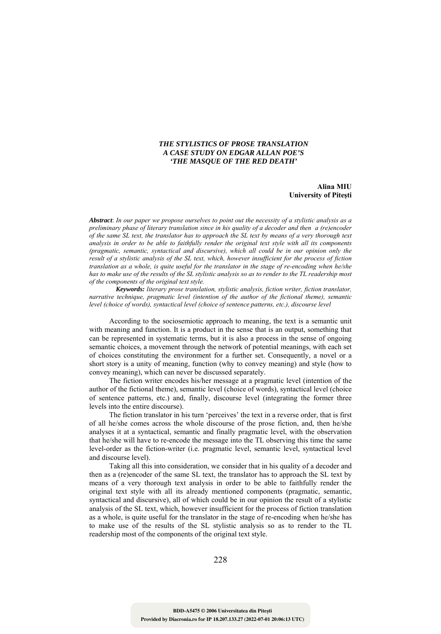## *THE STYLISTICS OF PROSE TRANSLATION A CASE STUDY ON EDGAR ALLAN POE'S 'THE MASQUE OF THE RED DEATH'*

## **Alina MIU University of Piteşti**

*Abstract*: *In our paper we propose ourselves to point out the necessity of a stylistic analysis as a preliminary phase of literary translation since in his quality of a decoder and then a (re)encoder of the same SL text, the translator has to approach the SL text by means of a very thorough text analysis in order to be able to faithfully render the original text style with all its components (pragmatic, semantic, syntactical and discursive), which all could be in our opinion only the result of a stylistic analysis of the SL text, which, however insufficient for the process of fiction translation as a whole, is quite useful for the translator in the stage of re-encoding when he/she has to make use of the results of the SL stylistic analysis so as to render to the TL readership most of the components of the original text style.* 

*Keywords: literary prose translation, stylistic analysis, fiction writer, fiction translator, narrative technique, pragmatic level (intention of the author of the fictional theme), semantic level (choice of words), syntactical level (choice of sentence patterns, etc.), discourse level*

According to the sociosemiotic approach to meaning, the text is a semantic unit with meaning and function. It is a product in the sense that is an output, something that can be represented in systematic terms, but it is also a process in the sense of ongoing semantic choices, a movement through the network of potential meanings, with each set of choices constituting the environment for a further set. Consequently, a novel or a short story is a unity of meaning, function (why to convey meaning) and style (how to convey meaning), which can never be discussed separately.

The fiction writer encodes his/her message at a pragmatic level (intention of the author of the fictional theme), semantic level (choice of words), syntactical level (choice of sentence patterns, etc.) and, finally, discourse level (integrating the former three levels into the entire discourse).

The fiction translator in his turn 'perceives' the text in a reverse order, that is first of all he/she comes across the whole discourse of the prose fiction, and, then he/she analyses it at a syntactical, semantic and finally pragmatic level, with the observation that he/she will have to re-encode the message into the TL observing this time the same level-order as the fiction-writer (i.e. pragmatic level, semantic level, syntactical level and discourse level).

Taking all this into consideration, we consider that in his quality of a decoder and then as a (re)encoder of the same SL text, the translator has to approach the SL text by means of a very thorough text analysis in order to be able to faithfully render the original text style with all its already mentioned components (pragmatic, semantic, syntactical and discursive), all of which could be in our opinion the result of a stylistic analysis of the SL text, which, however insufficient for the process of fiction translation as a whole, is quite useful for the translator in the stage of re-encoding when he/she has to make use of the results of the SL stylistic analysis so as to render to the TL readership most of the components of the original text style.

228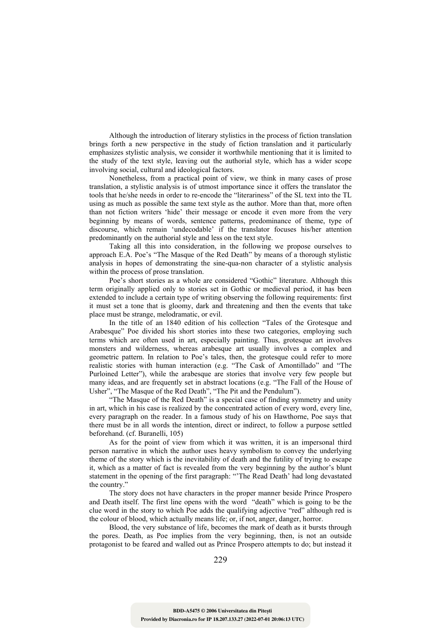Although the introduction of literary stylistics in the process of fiction translation brings forth a new perspective in the study of fiction translation and it particularly emphasizes stylistic analysis, we consider it worthwhile mentioning that it is limited to the study of the text style, leaving out the authorial style, which has a wider scope involving social, cultural and ideological factors.

Nonetheless, from a practical point of view, we think in many cases of prose translation, a stylistic analysis is of utmost importance since it offers the translator the tools that he/she needs in order to re-encode the "literariness" of the SL text into the TL using as much as possible the same text style as the author. More than that, more often than not fiction writers 'hide' their message or encode it even more from the very beginning by means of words, sentence patterns, predominance of theme, type of discourse, which remain 'undecodable' if the translator focuses his/her attention predominantly on the authorial style and less on the text style.

Taking all this into consideration, in the following we propose ourselves to approach E.A. Poe's "The Masque of the Red Death" by means of a thorough stylistic analysis in hopes of demonstrating the sine-qua-non character of a stylistic analysis within the process of prose translation.

Poe's short stories as a whole are considered "Gothic" literature. Although this term originally applied only to stories set in Gothic or medieval period, it has been extended to include a certain type of writing observing the following requirements: first it must set a tone that is gloomy, dark and threatening and then the events that take place must be strange, melodramatic, or evil.

In the title of an 1840 edition of his collection "Tales of the Grotesque and Arabesque" Poe divided his short stories into these two categories, employing such terms which are often used in art, especially painting. Thus, grotesque art involves monsters and wilderness, whereas arabesque art usually involves a complex and geometric pattern. In relation to Poe's tales, then, the grotesque could refer to more realistic stories with human interaction (e.g. "The Cask of Amontillado" and "The Purloined Letter"), while the arabesque are stories that involve very few people but many ideas, and are frequently set in abstract locations (e.g. "The Fall of the House of Usher", "The Masque of the Red Death", "The Pit and the Pendulum").

"The Masque of the Red Death" is a special case of finding symmetry and unity in art, which in his case is realized by the concentrated action of every word, every line, every paragraph on the reader. In a famous study of his on Hawthorne, Poe says that there must be in all words the intention, direct or indirect, to follow a purpose settled beforehand. (cf. Buranelli, 105)

As for the point of view from which it was written, it is an impersonal third person narrative in which the author uses heavy symbolism to convey the underlying theme of the story which is the inevitability of death and the futility of trying to escape it, which as a matter of fact is revealed from the very beginning by the author's blunt statement in the opening of the first paragraph: "'The Read Death' had long devastated the country."

The story does not have characters in the proper manner beside Prince Prospero and Death itself. The first line opens with the word "death" which is going to be the clue word in the story to which Poe adds the qualifying adjective "red" although red is the colour of blood, which actually means life; or, if not, anger, danger, horror.

Blood, the very substance of life, becomes the mark of death as it bursts through the pores. Death, as Poe implies from the very beginning, then, is not an outside protagonist to be feared and walled out as Prince Prospero attempts to do; but instead it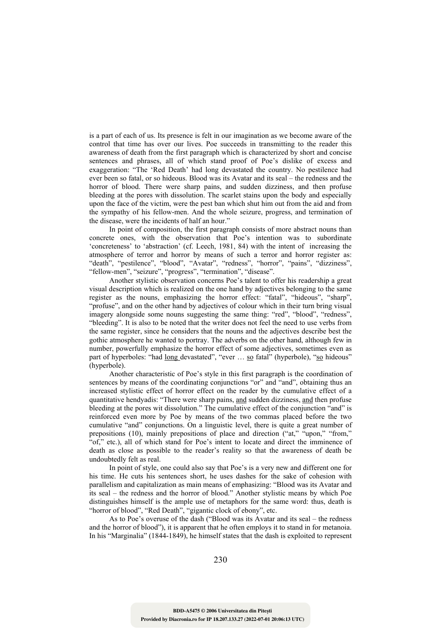is a part of each of us. Its presence is felt in our imagination as we become aware of the control that time has over our lives. Poe succeeds in transmitting to the reader this awareness of death from the first paragraph which is characterized by short and concise sentences and phrases, all of which stand proof of Poe's dislike of excess and exaggeration: "The 'Red Death' had long devastated the country. No pestilence had ever been so fatal, or so hideous. Blood was its Avatar and its seal – the redness and the horror of blood. There were sharp pains, and sudden dizziness, and then profuse bleeding at the pores with dissolution. The scarlet stains upon the body and especially upon the face of the victim, were the pest ban which shut him out from the aid and from the sympathy of his fellow-men. And the whole seizure, progress, and termination of the disease, were the incidents of half an hour."

In point of composition, the first paragraph consists of more abstract nouns than concrete ones, with the observation that Poe's intention was to subordinate 'concreteness' to 'abstraction' (cf. Leech, 1981, 84) with the intent of increasing the atmosphere of terror and horror by means of such a terror and horror register as: "death", "pestilence", "blood", "Avatar", "redness", "horror", "pains", "dizziness", "fellow-men", "seizure", "progress", "termination", "disease".

Another stylistic observation concerns Poe's talent to offer his readership a great visual description which is realized on the one hand by adjectives belonging to the same register as the nouns, emphasizing the horror effect: "fatal", "hideous", "sharp", "profuse", and on the other hand by adjectives of colour which in their turn bring visual imagery alongside some nouns suggesting the same thing: "red", "blood", "redness", "bleeding". It is also to be noted that the writer does not feel the need to use verbs from the same register, since he considers that the nouns and the adjectives describe best the gothic atmosphere he wanted to portray. The adverbs on the other hand, although few in number, powerfully emphasize the horror effect of some adjectives, sometimes even as part of hyperboles: "had long devastated", "ever … so fatal" (hyperbole), "so hideous" (hyperbole).

Another characteristic of Poe's style in this first paragraph is the coordination of sentences by means of the coordinating conjunctions "or" and "and", obtaining thus an increased stylistic effect of horror effect on the reader by the cumulative effect of a quantitative hendyadis: "There were sharp pains, and sudden dizziness, and then profuse bleeding at the pores wit dissolution." The cumulative effect of the conjunction "and" is reinforced even more by Poe by means of the two commas placed before the two cumulative "and" conjunctions. On a linguistic level, there is quite a great number of prepositions (10), mainly prepositions of place and direction ("at," "upon," "from," "of," etc.), all of which stand for Poe's intent to locate and direct the imminence of death as close as possible to the reader's reality so that the awareness of death be undoubtedly felt as real.

In point of style, one could also say that Poe's is a very new and different one for his time. He cuts his sentences short, he uses dashes for the sake of cohesion with parallelism and capitalization as main means of emphasizing: "Blood was its Avatar and its seal – the redness and the horror of blood." Another stylistic means by which Poe distinguishes himself is the ample use of metaphors for the same word: thus, death is "horror of blood", "Red Death", "gigantic clock of ebony", etc.

As to Poe's overuse of the dash ("Blood was its Avatar and its seal – the redness and the horror of blood"), it is apparent that he often employs it to stand in for metanoia. In his "Marginalia" (1844-1849), he himself states that the dash is exploited to represent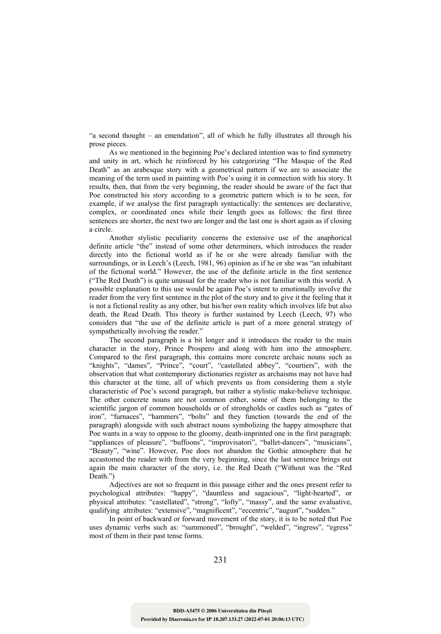"a second thought – an emendation", all of which he fully illustrates all through his prose pieces.

As we mentioned in the beginning Poe's declared intention was to find symmetry and unity in art, which he reinforced by his categorizing "The Masque of the Red Death" as an arabesque story with a geometrical pattern if we are to associate the meaning of the term used in painting with Poe's using it in connection with his story. It results, then, that from the very beginning, the reader should be aware of the fact that Poe constructed his story according to a geometric pattern which is to be seen, for example, if we analyse the first paragraph syntactically: the sentences are declarative, complex, or coordinated ones while their length goes as follows: the first three sentences are shorter, the next two are longer and the last one is short again as if closing a circle.

Another stylistic peculiarity concerns the extensive use of the anaphorical definite article "the" instead of some other determiners, which introduces the reader directly into the fictional world as if he or she were already familiar with the surroundings, or in Leech's (Leech, 1981, 96) opinion as if he or she was "an inhabitant of the fictional world." However, the use of the definite article in the first sentence ("The Red Death") is quite unusual for the reader who is not familiar with this world. A possible explanation to this use would be again Poe's intent to emotionally involve the reader from the very first sentence in the plot of the story and to give it the feeling that it is not a fictional reality as any other, but his/her own reality which involves life but also death, the Read Death. This theory is further sustained by Leech (Leech, 97) who considers that "the use of the definite article is part of a more general strategy of sympathetically involving the reader."

The second paragraph is a bit longer and it introduces the reader to the main character in the story, Prince Prospero and along with him into the atmosphere. Compared to the first paragraph, this contains more concrete archaic nouns such as "knights", "dames", "Prince", "court", "castellated abbey", "courtiers", with the observation that what contemporary dictionaries register as archaisms may not have had this character at the time, all of which prevents us from considering them a style characteristic of Poe's second paragraph, but rather a stylistic make-believe technique. The other concrete nouns are not common either, some of them belonging to the scientific jargon of common households or of strongholds or castles such as "gates of iron", "furnaces", "hammers", "bolts" and they function (towards the end of the paragraph) alongside with such abstract nouns symbolizing the happy atmosphere that Poe wants in a way to oppose to the gloomy, death-imprinted one in the first paragraph: "appliances of pleasure", "buffoons", "improvisatori", "ballet-dancers", "musicians", "Beauty", "wine". However, Poe does not abandon the Gothic atmosphere that he accustomed the reader with from the very beginning, since the last sentence brings out again the main character of the story, i.e. the Red Death ("Without was the "Red Death.")

Adjectives are not so frequent in this passage either and the ones present refer to psychological attributes: "happy", "dauntless and sagacious", "light-hearted", or physical attributes: "castellated", "strong", "lofty", "massy", and the same evaluative, qualifying attributes: "extensive", "magnificent", "eccentric", "august", "sudden."

In point of backward or forward movement of the story, it is to be noted that Poe uses dynamic verbs such as: "summoned", "brought", "welded", "ingress", "egress" most of them in their past tense forms.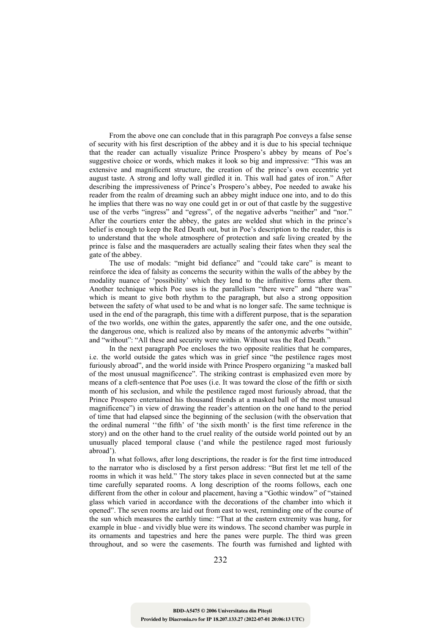From the above one can conclude that in this paragraph Poe conveys a false sense of security with his first description of the abbey and it is due to his special technique that the reader can actually visualize Prince Prospero's abbey by means of Poe's suggestive choice or words, which makes it look so big and impressive: "This was an extensive and magnificent structure, the creation of the prince's own eccentric yet august taste. A strong and lofty wall girdled it in. This wall had gates of iron." After describing the impressiveness of Prince's Prospero's abbey, Poe needed to awake his reader from the realm of dreaming such an abbey might induce one into, and to do this he implies that there was no way one could get in or out of that castle by the suggestive use of the verbs "ingress" and "egress", of the negative adverbs "neither" and "nor." After the courtiers enter the abbey, the gates are welded shut which in the prince's belief is enough to keep the Red Death out, but in Poe's description to the reader, this is to understand that the whole atmosphere of protection and safe living created by the prince is false and the masqueraders are actually sealing their fates when they seal the gate of the abbey.

The use of modals: "might bid defiance" and "could take care" is meant to reinforce the idea of falsity as concerns the security within the walls of the abbey by the modality nuance of 'possibility' which they lend to the infinitive forms after them. Another technique which Poe uses is the parallelism "there were" and "there was" which is meant to give both rhythm to the paragraph, but also a strong opposition between the safety of what used to be and what is no longer safe. The same technique is used in the end of the paragraph, this time with a different purpose, that is the separation of the two worlds, one within the gates, apparently the safer one, and the one outside, the dangerous one, which is realized also by means of the antonymic adverbs "within" and "without": "All these and security were within. Without was the Red Death."

In the next paragraph Poe encloses the two opposite realities that he compares, i.e. the world outside the gates which was in grief since "the pestilence rages most furiously abroad", and the world inside with Prince Prospero organizing "a masked ball of the most unusual magnificence". The striking contrast is emphasized even more by means of a cleft-sentence that Poe uses (i.e. It was toward the close of the fifth or sixth month of his seclusion, and while the pestilence raged most furiously abroad, that the Prince Prospero entertained his thousand friends at a masked ball of the most unusual magnificence") in view of drawing the reader's attention on the one hand to the period of time that had elapsed since the beginning of the seclusion (with the observation that the ordinal numeral ''the fifth' of 'the sixth month' is the first time reference in the story) and on the other hand to the cruel reality of the outside world pointed out by an unusually placed temporal clause ('and while the pestilence raged most furiously abroad').

In what follows, after long descriptions, the reader is for the first time introduced to the narrator who is disclosed by a first person address: "But first let me tell of the rooms in which it was held." The story takes place in seven connected but at the same time carefully separated rooms. A long description of the rooms follows, each one different from the other in colour and placement, having a "Gothic window" of "stained glass which varied in accordance with the decorations of the chamber into which it opened". The seven rooms are laid out from east to west, reminding one of the course of the sun which measures the earthly time: "That at the eastern extremity was hung, for example in blue - and vividly blue were its windows. The second chamber was purple in its ornaments and tapestries and here the panes were purple. The third was green throughout, and so were the casements. The fourth was furnished and lighted with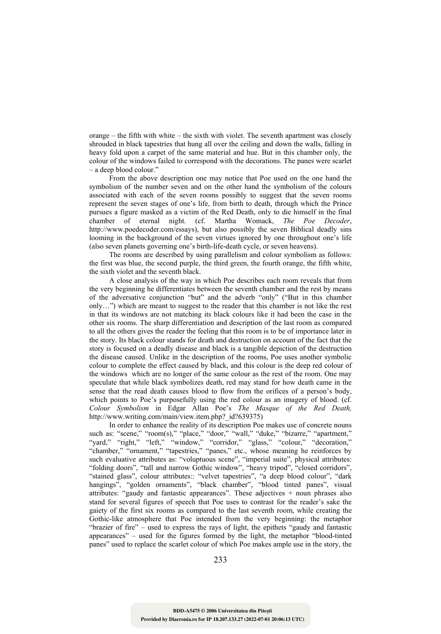orange – the fifth with white – the sixth with violet. The seventh apartment was closely shrouded in black tapestries that hung all over the ceiling and down the walls, falling in heavy fold upon a carpet of the same material and hue. But in this chamber only, the colour of the windows failed to correspond with the decorations. The panes were scarlet – a deep blood colour."

From the above description one may notice that Poe used on the one hand the symbolism of the number seven and on the other hand the symbolism of the colours associated with each of the seven rooms possibly to suggest that the seven rooms represent the seven stages of one's life, from birth to death, through which the Prince pursues a figure masked as a victim of the Red Death, only to die himself in the final chamber of eternal night. (cf. Martha Womack, *The Poe Decoder*, http://www.poedecoder.com/essays), but also possibly the seven Biblical deadly sins looming in the background of the seven virtues ignored by one throughout one's life (also seven planets governing one's birth-life-death cycle, or seven heavens).

The rooms are described by using parallelism and colour symbolism as follows: the first was blue, the second purple, the third green, the fourth orange, the fifth white, the sixth violet and the seventh black.

A close analysis of the way in which Poe describes each room reveals that from the very beginning he differentiates between the seventh chamber and the rest by means of the adversative conjunction "but" and the adverb "only" ("But in this chamber only…") which are meant to suggest to the reader that this chamber is not like the rest in that its windows are not matching its black colours like it had been the case in the other six rooms. The sharp differentiation and description of the last room as compared to all the others gives the reader the feeling that this room is to be of importance later in the story. Its black colour stands for death and destruction on account of the fact that the story is focused on a deadly disease and black is a tangible depiction of the destruction the disease caused. Unlike in the description of the rooms, Poe uses another symbolic colour to complete the effect caused by black, and this colour is the deep red colour of the windows which are no longer of the same colour as the rest of the room. One may speculate that while black symbolizes death, red may stand for how death came in the sense that the read death causes blood to flow from the orifices of a person's body, which points to Poe's purposefully using the red colour as an imagery of blood. (cf. *Colour Symbolism* in Edgar Allan Poe's *The Masque of the Red Death,*  http://www.writing.com/main/view.item.php? id?639375)

In order to enhance the reality of its description Poe makes use of concrete nouns such as: "scene," "room(s)," "place," "door," "wall," "duke," "bizarre," "apartment," "yard," "right," "left," "window," "corridor," "glass," "colour," "decoration," "chamber," "ornament," "tapestries," "panes," etc., whose meaning he reinforces by such evaluative attributes as: "voluptuous scene", "imperial suite", physical attributes: "folding doors", "tall and narrow Gothic window", "heavy tripod", "closed corridors", "stained glass", colour attributes:: "velvet tapestries", "a deep blood colour", "dark hangings", "golden ornaments", "black chamber", "blood tinted panes", visual attributes: "gaudy and fantastic appearances". These adjectives + noun phrases also stand for several figures of speech that Poe uses to contrast for the reader's sake the gaiety of the first six rooms as compared to the last seventh room, while creating the Gothic-like atmosphere that Poe intended from the very beginning: the metaphor "brazier of fire" – used to express the rays of light, the epithets "gaudy and fantastic appearances" – used for the figures formed by the light, the metaphor "blood-tinted panes" used to replace the scarlet colour of which Poe makes ample use in the story, the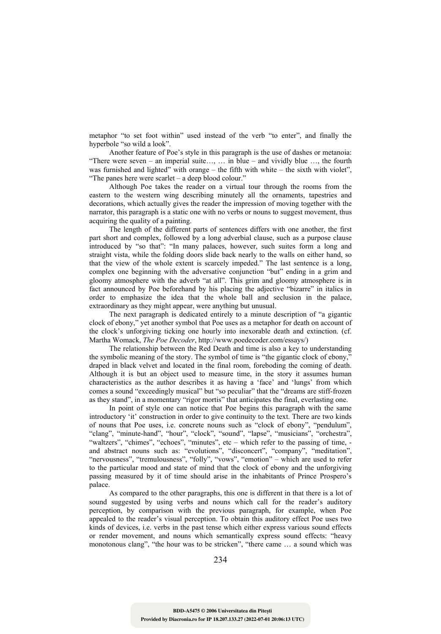metaphor "to set foot within" used instead of the verb "to enter", and finally the hyperbole "so wild a look".

Another feature of Poe's style in this paragraph is the use of dashes or metanoia: "There were seven – an imperial suite…, … in blue – and vividly blue …, the fourth was furnished and lighted" with orange – the fifth with white – the sixth with violet", "The panes here were scarlet – a deep blood colour."

Although Poe takes the reader on a virtual tour through the rooms from the eastern to the western wing describing minutely all the ornaments, tapestries and decorations, which actually gives the reader the impression of moving together with the narrator, this paragraph is a static one with no verbs or nouns to suggest movement, thus acquiring the quality of a painting.

The length of the different parts of sentences differs with one another, the first part short and complex, followed by a long adverbial clause, such as a purpose clause introduced by "so that": "In many palaces, however, such suites form a long and straight vista, while the folding doors slide back nearly to the walls on either hand, so that the view of the whole extent is scarcely impeded." The last sentence is a long, complex one beginning with the adversative conjunction "but" ending in a grim and gloomy atmosphere with the adverb "at all". This grim and gloomy atmosphere is in fact announced by Poe beforehand by his placing the adjective "bizarre" in italics in order to emphasize the idea that the whole ball and seclusion in the palace, extraordinary as they might appear, were anything but unusual.

The next paragraph is dedicated entirely to a minute description of "a gigantic clock of ebony," yet another symbol that Poe uses as a metaphor for death on account of the clock's unforgiving ticking one hourly into inexorable death and extinction. (cf. Martha Womack, *The Poe Decoder*, http://www.poedecoder.com/essays/)

The relationship between the Red Death and time is also a key to understanding the symbolic meaning of the story. The symbol of time is "the gigantic clock of ebony," draped in black velvet and located in the final room, foreboding the coming of death. Although it is but an object used to measure time, in the story it assumes human characteristics as the author describes it as having a 'face' and 'lungs' from which comes a sound "exceedingly musical" but "so peculiar" that the "dreams are stiff-frozen as they stand", in a momentary "rigor mortis" that anticipates the final, everlasting one.

In point of style one can notice that Poe begins this paragraph with the same introductory 'it' construction in order to give continuity to the text. There are two kinds of nouns that Poe uses, i.e. concrete nouns such as "clock of ebony", "pendulum", "clang", "minute-hand", "hour", "clock", "sound", "lapse", "musicians", "orchestra", "waltzers", "chimes", "echoes", "minutes", etc – which refer to the passing of time, and abstract nouns such as: "evolutions", "disconcert", "company", "meditation", "nervousness", "tremulousness", "folly", "vows", "emotion" – which are used to refer to the particular mood and state of mind that the clock of ebony and the unforgiving passing measured by it of time should arise in the inhabitants of Prince Prospero's palace.

As compared to the other paragraphs, this one is different in that there is a lot of sound suggested by using verbs and nouns which call for the reader's auditory perception, by comparison with the previous paragraph, for example, when Poe appealed to the reader's visual perception. To obtain this auditory effect Poe uses two kinds of devices, i.e. verbs in the past tense which either express various sound effects or render movement, and nouns which semantically express sound effects: "heavy monotonous clang", "the hour was to be stricken", "there came … a sound which was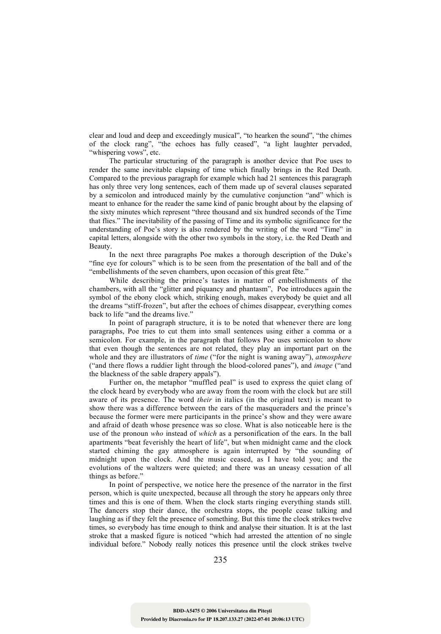clear and loud and deep and exceedingly musical", "to hearken the sound", "the chimes of the clock rang", "the echoes has fully ceased", "a light laughter pervaded, "whispering vows", etc.

The particular structuring of the paragraph is another device that Poe uses to render the same inevitable elapsing of time which finally brings in the Red Death. Compared to the previous paragraph for example which had 21 sentences this paragraph has only three very long sentences, each of them made up of several clauses separated by a semicolon and introduced mainly by the cumulative conjunction "and" which is meant to enhance for the reader the same kind of panic brought about by the elapsing of the sixty minutes which represent "three thousand and six hundred seconds of the Time that flies." The inevitability of the passing of Time and its symbolic significance for the understanding of Poe's story is also rendered by the writing of the word "Time" in capital letters, alongside with the other two symbols in the story, i.e. the Red Death and Beauty.

In the next three paragraphs Poe makes a thorough description of the Duke's "fine eye for colours" which is to be seen from the presentation of the ball and of the "embellishments of the seven chambers, upon occasion of this great fête."

While describing the prince's tastes in matter of embellishments of the chambers, with all the "glitter and piquancy and phantasm", Poe introduces again the symbol of the ebony clock which, striking enough, makes everybody be quiet and all the dreams "stiff-frozen", but after the echoes of chimes disappear, everything comes back to life "and the dreams live."

In point of paragraph structure, it is to be noted that whenever there are long paragraphs, Poe tries to cut them into small sentences using either a comma or a semicolon. For example, in the paragraph that follows Poe uses semicolon to show that even though the sentences are not related, they play an important part on the whole and they are illustrators of *time* ("for the night is waning away"), *atmosphere* ("and there flows a ruddier light through the blood-colored panes"), and *image* ("and the blackness of the sable drapery appals").

Further on, the metaphor "muffled peal" is used to express the quiet clang of the clock heard by everybody who are away from the room with the clock but are still aware of its presence. The word *their* in italics (in the original text) is meant to show there was a difference between the ears of the masqueraders and the prince's because the former were mere participants in the prince's show and they were aware and afraid of death whose presence was so close. What is also noticeable here is the use of the pronoun *who* instead of *which* as a personification of the ears. In the ball apartments "beat feverishly the heart of life", but when midnight came and the clock started chiming the gay atmosphere is again interrupted by "the sounding of midnight upon the clock. And the music ceased, as I have told you; and the evolutions of the waltzers were quieted; and there was an uneasy cessation of all things as before."

In point of perspective, we notice here the presence of the narrator in the first person, which is quite unexpected, because all through the story he appears only three times and this is one of them. When the clock starts ringing everything stands still. The dancers stop their dance, the orchestra stops, the people cease talking and laughing as if they felt the presence of something. But this time the clock strikes twelve times, so everybody has time enough to think and analyse their situation. It is at the last stroke that a masked figure is noticed "which had arrested the attention of no single individual before." Nobody really notices this presence until the clock strikes twelve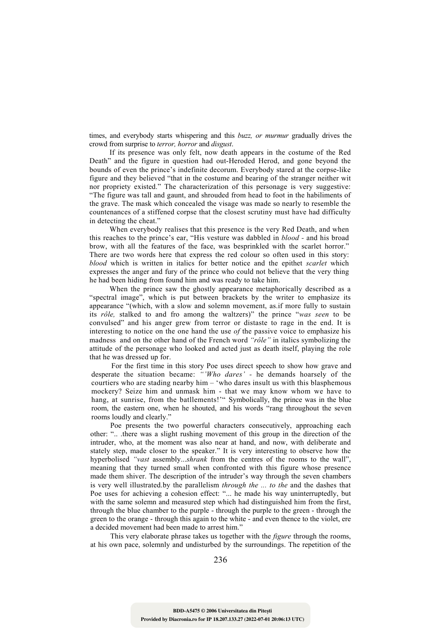times, and everybody starts whispering and this *buzz, or murmur* gradually drives the crowd from surprise to *terror, horror* and *disgust*.

If its presence was only felt, now death appears in the costume of the Red Death" and the figure in question had out-Heroded Herod, and gone beyond the bounds of even the prince's indefinite decorum. Everybody stared at the corpse-like figure and they believed "that in the costume and bearing of the stranger neither wit nor propriety existed." The characterization of this personage is very suggestive: "The figure was tall and gaunt, and shrouded from head to foot in the habiliments of the grave. The mask which concealed the visage was made so nearly to resemble the countenances of a stiffened corpse that the closest scrutiny must have had difficulty in detecting the cheat."

When everybody realises that this presence is the very Red Death, and when this reaches to the prince's ear, "His vesture was dabbled in *blood -* and his broad brow, with all the features of the face, was besprinkled with the scarlet horror." There are two words here that express the red colour so often used in this story: *blood* which is written in italics for better notice and the epithet *scarlet* which expresses the anger and fury of the prince who could not believe that the very thing he had been hiding from found him and was ready to take him.

When the prince saw the ghostly appearance metaphorically described as a "spectral image", which is put between brackets by the writer to emphasize its appearance "(which, with a slow and solemn movement, as.if more fully to sustain its *rôle,* stalked to and fro among the waltzers)" the prince "*was seen* to be convulsed" and his anger grew from terror or distaste to rage in the end. It is interesting to notice on the one hand the use *of* the passive voice to emphasize his madness and on the other hand of the French word *"rôle"* in italics symbolizing the attitude of the personage who looked and acted just as death itself, playing the role that he was dressed up for.

For the first time in this story Poe uses direct speech to show how grave and desperate the situation became: *"'Who dares' -* he demands hoarsely of the courtiers who are stading nearby him – 'who dares insult us with this blasphemous mockery? Seize him and unmask him - that we may know whom we have to hang, at sunrise, from the batllements!" Symbolically, the prince was in the blue room, the eastern one, when he shouted, and his words "rang throughout the seven rooms loudly and clearly."

Poe presents the two powerful characters consecutively, approaching each other: ".. .there was a slight rushing movement of this group in the direction of the intruder, who, at the moment was also near at hand, and now, with deliberate and stately step, made closer to the speaker." It is very interesting to observe how the hyperbolised *"vast* assembly...*shrank* from the centres of the rooms to the wall", meaning that they turned small when confronted with this figure whose presence made them shiver. The description of the intruder's way through the seven chambers is very well illustrated.by the parallelism *through the ... to the* and the dashes that Poe uses for achieving a cohesion effect: "... he made his way uninterruptedly, but with the same solemn and measured step which had distinguished him from the first, through the blue chamber to the purple - through the purple to the green - through the green to the orange - through this again to the white - and even thence to the violet, ere a decided movement had been made to arrest him."

This very elaborate phrase takes us together with the *figure* through the rooms, at his own pace, solemnly and undisturbed by the surroundings. The repetition of the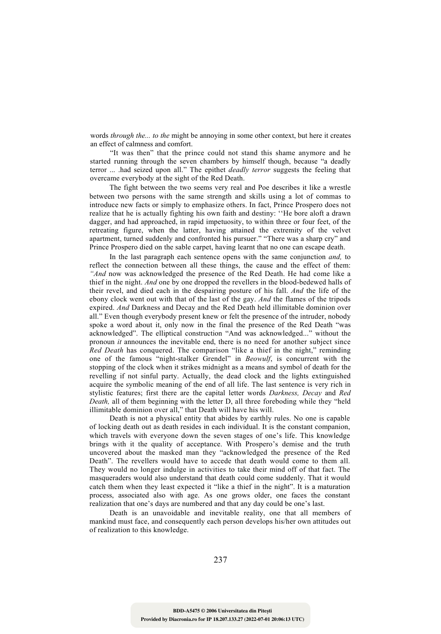words *through the... to the* might be annoying in some other context, but here it creates an effect of calmness and comfort.

"It was then" that the prince could not stand this shame anymore and he started running through the seven chambers by himself though, because "a deadly terror ... .had seized upon all." The epithet *deadly terror* suggests the feeling that overcame everybody at the sight of the Red Death.

The fight between the two seems very real and Poe describes it like a wrestle between two persons with the same strength and skills using a lot of commas to introduce new facts or simply to emphasize others. In fact, Prince Prospero does not realize that he is actually fighting his own faith and destiny: ''He bore aloft a drawn dagger, and had approached, in rapid impetuosity, to within three or four feet, of the retreating figure, when the latter, having attained the extremity of the velvet apartment, turned suddenly and confronted his pursuer." "There was a sharp cry" and Prince Prospero died on the sable carpet, having learnt that no one can escape death.

In the last paragraph each sentence opens with the same conjunction *and,* to reflect the connection between all these things, the cause and the effect of them: *"And* now was acknowledged the presence of the Red Death. He had come like a thief in the night. *And* one by one dropped the revellers in the blood-bedewed halls of their revel, and died each in the despairing posture of his fall. *And* the life of the ebony clock went out with that of the last of the gay. *And* the flames of the tripods expired. *And* Darkness and Decay and the Red Death held illimitable dominion over all." Even though everybody present knew or felt the presence of the intruder, nobody spoke a word about it, only now in the final the presence of the Red Death "was acknowledged". The elliptical construction "And was acknowledged..." without the pronoun *it* announces the inevitable end, there is no need for another subject since *Red Death* has conquered. The comparison "like a thief in the night," reminding one of the famous "night-stalker Grendel" in *Beowulf*, is concurrent with the stopping of the clock when it strikes midnight as a means and symbol of death for the revelling if not sinful party. Actually, the dead clock and the lights extinguished acquire the symbolic meaning of the end of all life. The last sentence is very rich in stylistic features; first there are the capital letter words *Darkness, Decay* and *Red Death, all of them beginning with the letter D, all three foreboding while they "held*" illimitable dominion over all," that Death will have his will.

Death is not a physical entity that abides by earthly rules. No one is capable of locking death out as death resides in each individual. It is the constant companion, which travels with everyone down the seven stages of one's life. This knowledge brings with it the quality of acceptance. With Prospero's demise and the truth uncovered about the masked man they "acknowledged the presence of the Red Death". The revellers would have to accede that death would come to them all. They would no longer indulge in activities to take their mind off of that fact. The masqueraders would also understand that death could come suddenly. That it would catch them when they least expected it "like a thief in the night". It is a maturation process, associated also with age. As one grows older, one faces the constant realization that one's days are numbered and that any day could be one's last.

Death is an unavoidable and inevitable reality, one that all members of mankind must face, and consequently each person develops his/her own attitudes out of realization to this knowledge.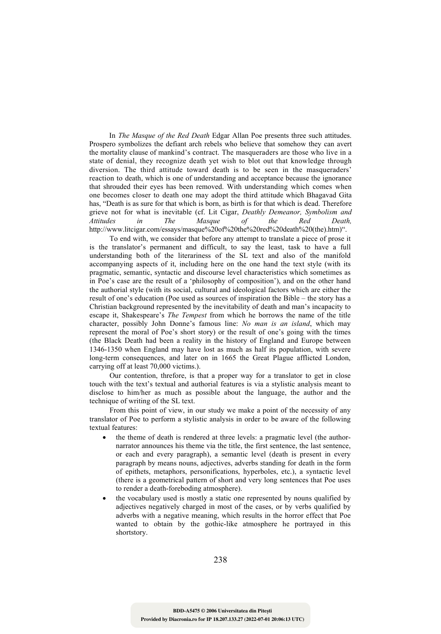In *The Masque of the Red Death* Edgar Allan Poe presents three such attitudes. Prospero symbolizes the defiant arch rebels who believe that somehow they can avert the mortality clause of mankind's contract. The masqueraders are those who live in a state of denial, they recognize death yet wish to blot out that knowledge through diversion. The third attitude toward death is to be seen in the masqueraders' reaction to death, which is one of understanding and acceptance because the ignorance that shrouded their eyes has been removed. With understanding which comes when one becomes closer to death one may adopt the third attitude which Bhagavad Gita has, "Death is as sure for that which is born, as birth is for that which is dead. Therefore grieve not for what is inevitable (cf. Lit Cigar, *Deathly Demeanor, Symbolism and Attitudes in The Masque of the Red Death,*  http://www.litcigar.com/essays/masque%20of%20the%20red%20death%20(the).htm)".

To end with, we consider that before any attempt to translate a piece of prose it is the translator's permanent and difficult, to say the least, task to have a full understanding both of the literariness of the SL text and also of the manifold accompanying aspects of it, including here on the one hand the text style (with its pragmatic, semantic, syntactic and discourse level characteristics which sometimes as in Poe's case are the result of a 'philosophy of composition'), and on the other hand the authorial style (with its social, cultural and ideological factors which are either the result of one's education (Poe used as sources of inspiration the Bible – the story has a Christian background represented by the inevitability of death and man's incapacity to escape it, Shakespeare's *The Tempest* from which he borrows the name of the title character, possibly John Donne's famous line: *No man is an island*, which may represent the moral of Poe's short story) or the result of one's going with the times (the Black Death had been a reality in the history of England and Europe between 1346-1350 when England may have lost as much as half its population, with severe long-term consequences, and later on in 1665 the Great Plague afflicted London, carrying off at least 70,000 victims.).

Our contention, threfore, is that a proper way for a translator to get in close touch with the text's textual and authorial features is via a stylistic analysis meant to disclose to him/her as much as possible about the language, the author and the technique of writing of the SL text.

From this point of view, in our study we make a point of the necessity of any translator of Poe to perform a stylistic analysis in order to be aware of the following textual features:

- the theme of death is rendered at three levels: a pragmatic level (the authornarrator announces his theme via the title, the first sentence, the last sentence, or each and every paragraph), a semantic level (death is present in every paragraph by means nouns, adjectives, adverbs standing for death in the form of epithets, metaphors, personifications, hyperboles, etc.), a syntactic level (there is a geometrical pattern of short and very long sentences that Poe uses to render a death-foreboding atmosphere).
- the vocabulary used is mostly a static one represented by nouns qualified by adjectives negatively charged in most of the cases, or by verbs qualified by adverbs with a negative meaning, which results in the horror effect that Poe wanted to obtain by the gothic-like atmosphere he portrayed in this shortstory.